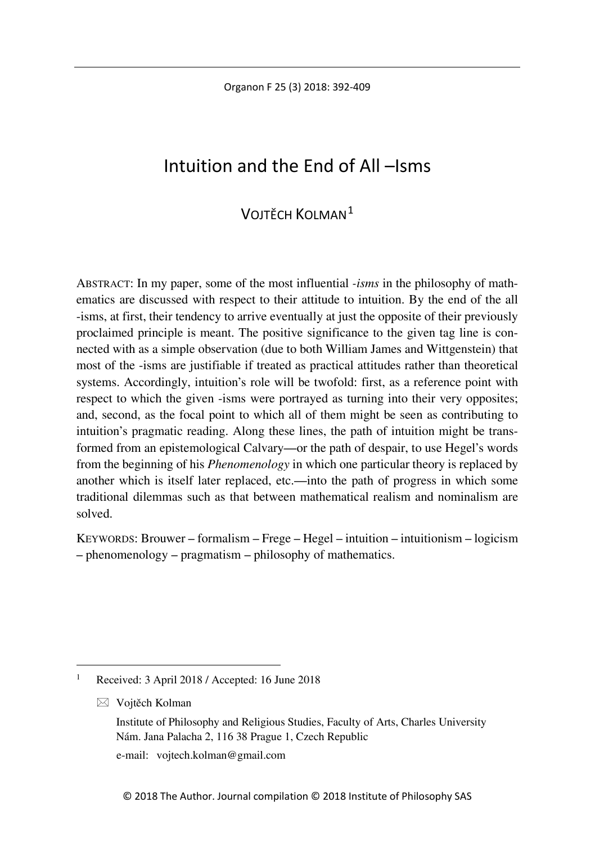Organon F 25 (3) 2018: 392-409

# Intuition and the End of All –Isms

# VOJTĚCH KOLMAN[1](#page-0-0)

ABSTRACT: In my paper, some of the most influential *-isms* in the philosophy of mathematics are discussed with respect to their attitude to intuition. By the end of the all -isms, at first, their tendency to arrive eventually at just the opposite of their previously proclaimed principle is meant. The positive significance to the given tag line is connected with as a simple observation (due to both William James and Wittgenstein) that most of the -isms are justifiable if treated as practical attitudes rather than theoretical systems. Accordingly, intuition's role will be twofold: first, as a reference point with respect to which the given -isms were portrayed as turning into their very opposites; and, second, as the focal point to which all of them might be seen as contributing to intuition's pragmatic reading. Along these lines, the path of intuition might be transformed from an epistemological Calvary—or the path of despair, to use Hegel's words from the beginning of his *Phenomenology* in which one particular theory is replaced by another which is itself later replaced, etc.—into the path of progress in which some traditional dilemmas such as that between mathematical realism and nominalism are solved.

KEYWORDS: Brouwer – formalism – Frege – Hegel – intuition – intuitionism – logicism – phenomenology – pragmatism – philosophy of mathematics.

Vojtěch Kolman

e-mail: vojtech.kolman@gmail.com

<span id="page-0-0"></span> <sup>1</sup> Received: 3 April 2018 / Accepted: 16 June 2018

Institute of Philosophy and Religious Studies, Faculty of Arts, Charles University Nám. Jana Palacha 2, 116 38 Prague 1, Czech Republic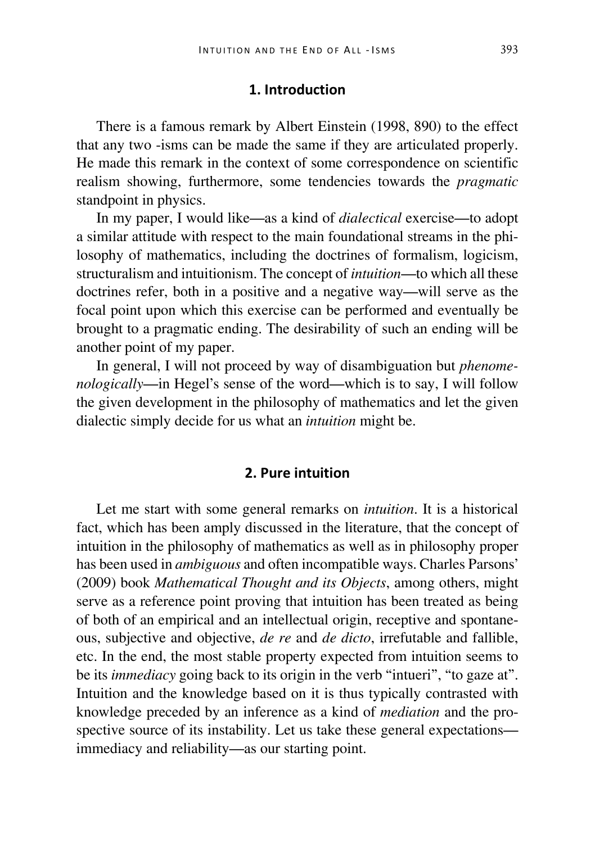## **1. Introduction**

There is a famous remark by Albert Einstein (1998, 890) to the effect that any two -isms can be made the same if they are articulated properly. He made this remark in the context of some correspondence on scientific realism showing, furthermore, some tendencies towards the *pragmatic* standpoint in physics.

In my paper, I would like—as a kind of *dialectical* exercise—to adopt a similar attitude with respect to the main foundational streams in the philosophy of mathematics, including the doctrines of formalism, logicism, structuralism and intuitionism. The concept of *intuition*—to which all these doctrines refer, both in a positive and a negative way—will serve as the focal point upon which this exercise can be performed and eventually be brought to a pragmatic ending. The desirability of such an ending will be another point of my paper.

In general, I will not proceed by way of disambiguation but *phenomenologically*—in Hegel's sense of the word—which is to say, I will follow the given development in the philosophy of mathematics and let the given dialectic simply decide for us what an *intuition* might be.

#### **2. Pure intuition**

Let me start with some general remarks on *intuition*. It is a historical fact, which has been amply discussed in the literature, that the concept of intuition in the philosophy of mathematics as well as in philosophy proper has been used in *ambiguous* and often incompatible ways. Charles Parsons' (2009) book *Mathematical Thought and its Objects*, among others, might serve as a reference point proving that intuition has been treated as being of both of an empirical and an intellectual origin, receptive and spontaneous, subjective and objective, *de re* and *de dicto*, irrefutable and fallible, etc. In the end, the most stable property expected from intuition seems to be its *immediacy* going back to its origin in the verb "intueri", "to gaze at". Intuition and the knowledge based on it is thus typically contrasted with knowledge preceded by an inference as a kind of *mediation* and the prospective source of its instability. Let us take these general expectations immediacy and reliability—as our starting point.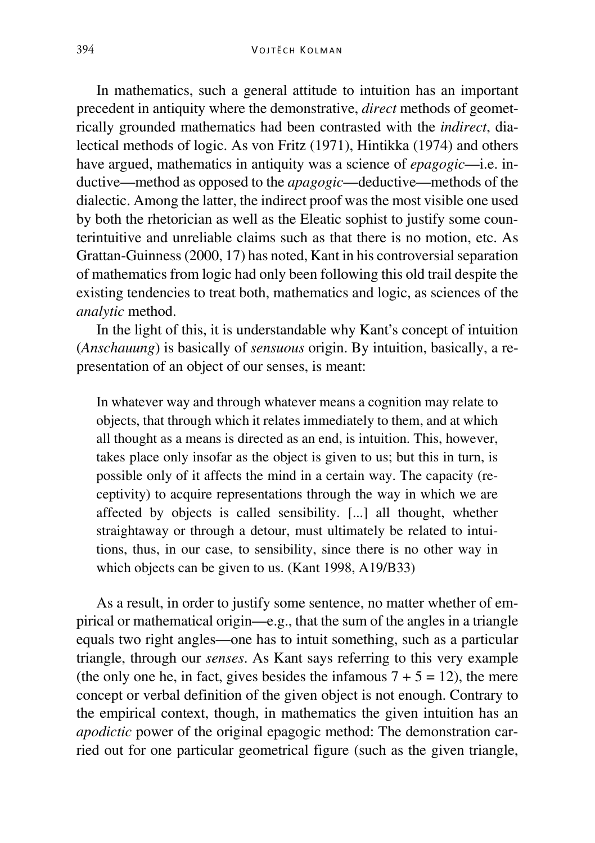In mathematics, such a general attitude to intuition has an important precedent in antiquity where the demonstrative, *direct* methods of geometrically grounded mathematics had been contrasted with the *indirect*, dialectical methods of logic. As von Fritz (1971), Hintikka (1974) and others have argued, mathematics in antiquity was a science of *epagogic*—i.e. inductive—method as opposed to the *apagogic*—deductive—methods of the dialectic. Among the latter, the indirect proof was the most visible one used by both the rhetorician as well as the Eleatic sophist to justify some counterintuitive and unreliable claims such as that there is no motion, etc. As Grattan-Guinness (2000, 17) has noted, Kant in his controversial separation of mathematics from logic had only been following this old trail despite the existing tendencies to treat both, mathematics and logic, as sciences of the *analytic* method.

In the light of this, it is understandable why Kant's concept of intuition (*Anschauung*) is basically of *sensuous* origin. By intuition, basically, a representation of an object of our senses, is meant:

In whatever way and through whatever means a cognition may relate to objects, that through which it relates immediately to them, and at which all thought as a means is directed as an end, is intuition. This, however, takes place only insofar as the object is given to us; but this in turn, is possible only of it affects the mind in a certain way. The capacity (receptivity) to acquire representations through the way in which we are affected by objects is called sensibility. [...] all thought, whether straightaway or through a detour, must ultimately be related to intuitions, thus, in our case, to sensibility, since there is no other way in which objects can be given to us. (Kant 1998, A19/B33)

As a result, in order to justify some sentence, no matter whether of empirical or mathematical origin—e.g., that the sum of the angles in a triangle equals two right angles—one has to intuit something, such as a particular triangle, through our *senses*. As Kant says referring to this very example (the only one he, in fact, gives besides the infamous  $7 + 5 = 12$ ), the mere concept or verbal definition of the given object is not enough. Contrary to the empirical context, though, in mathematics the given intuition has an *apodictic* power of the original epagogic method: The demonstration carried out for one particular geometrical figure (such as the given triangle,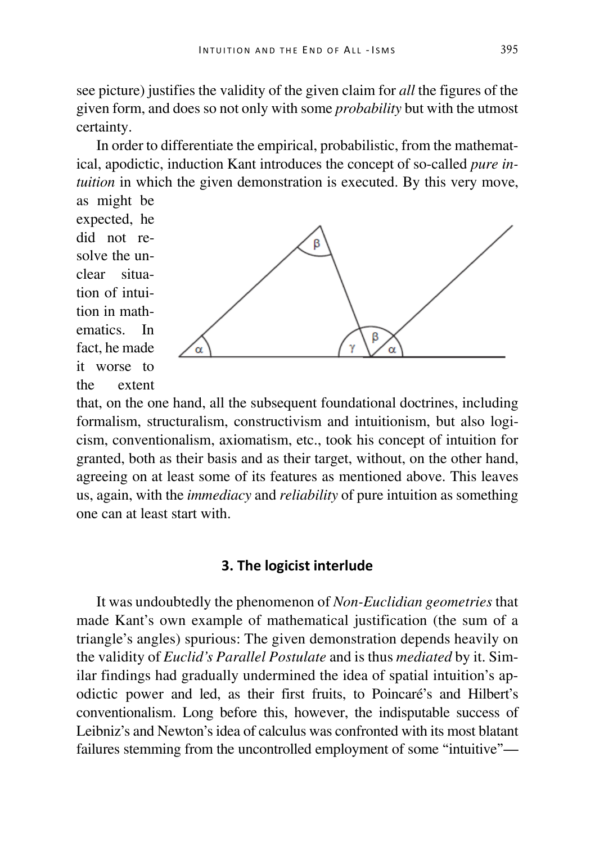see picture) justifies the validity of the given claim for *all* the figures of the given form, and does so not only with some *probability* but with the utmost certainty.

In order to differentiate the empirical, probabilistic, from the mathematical, apodictic, induction Kant introduces the concept of so-called *pure intuition* in which the given demonstration is executed. By this very move, as might be

expected, he did not resolve the unclear situation of intuition in mathematics. In fact, he made it worse to the extent



that, on the one hand, all the subsequent foundational doctrines, including formalism, structuralism, constructivism and intuitionism, but also logicism, conventionalism, axiomatism, etc., took his concept of intuition for granted, both as their basis and as their target, without, on the other hand, agreeing on at least some of its features as mentioned above. This leaves us, again, with the *immediacy* and *reliability* of pure intuition as something one can at least start with.

### **3. The logicist interlude**

It was undoubtedly the phenomenon of *Non-Euclidian geometries* that made Kant's own example of mathematical justification (the sum of a triangle's angles) spurious: The given demonstration depends heavily on the validity of *Euclid's Parallel Postulate* and is thus *mediated* by it. Similar findings had gradually undermined the idea of spatial intuition's apodictic power and led, as their first fruits, to Poincaré's and Hilbert's conventionalism. Long before this, however, the indisputable success of Leibniz's and Newton's idea of calculus was confronted with its most blatant failures stemming from the uncontrolled employment of some "intuitive"—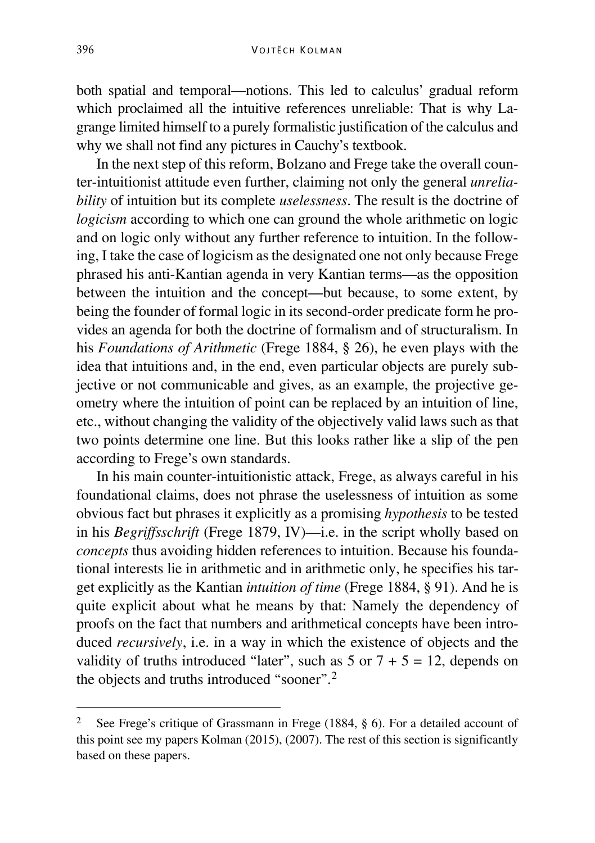both spatial and temporal—notions. This led to calculus' gradual reform which proclaimed all the intuitive references unreliable: That is why Lagrange limited himself to a purely formalistic justification of the calculus and why we shall not find any pictures in Cauchy's textbook.

In the next step of this reform, Bolzano and Frege take the overall counter-intuitionist attitude even further, claiming not only the general *unreliability* of intuition but its complete *uselessness*. The result is the doctrine of *logicism* according to which one can ground the whole arithmetic on logic and on logic only without any further reference to intuition. In the following, I take the case of logicism as the designated one not only because Frege phrased his anti-Kantian agenda in very Kantian terms—as the opposition between the intuition and the concept—but because, to some extent, by being the founder of formal logic in its second-order predicate form he provides an agenda for both the doctrine of formalism and of structuralism. In his *Foundations of Arithmetic* (Frege 1884, § 26), he even plays with the idea that intuitions and, in the end, even particular objects are purely subjective or not communicable and gives, as an example, the projective geometry where the intuition of point can be replaced by an intuition of line, etc., without changing the validity of the objectively valid laws such as that two points determine one line. But this looks rather like a slip of the pen according to Frege's own standards.

In his main counter-intuitionistic attack, Frege, as always careful in his foundational claims, does not phrase the uselessness of intuition as some obvious fact but phrases it explicitly as a promising *hypothesis* to be tested in his *Begriffsschrift* (Frege 1879, IV)—i.e. in the script wholly based on *concepts* thus avoiding hidden references to intuition. Because his foundational interests lie in arithmetic and in arithmetic only, he specifies his target explicitly as the Kantian *intuition of time* (Frege 1884, § 91). And he is quite explicit about what he means by that: Namely the dependency of proofs on the fact that numbers and arithmetical concepts have been introduced *recursively*, i.e. in a way in which the existence of objects and the validity of truths introduced "later", such as  $5$  or  $7 + 5 = 12$ , depends on the objects and truths introduced "sooner".[2](#page-4-0)

<span id="page-4-0"></span> <sup>2</sup> See Frege's critique of Grassmann in Frege (1884, § 6). For a detailed account of this point see my papers Kolman (2015), (2007). The rest of this section is significantly based on these papers.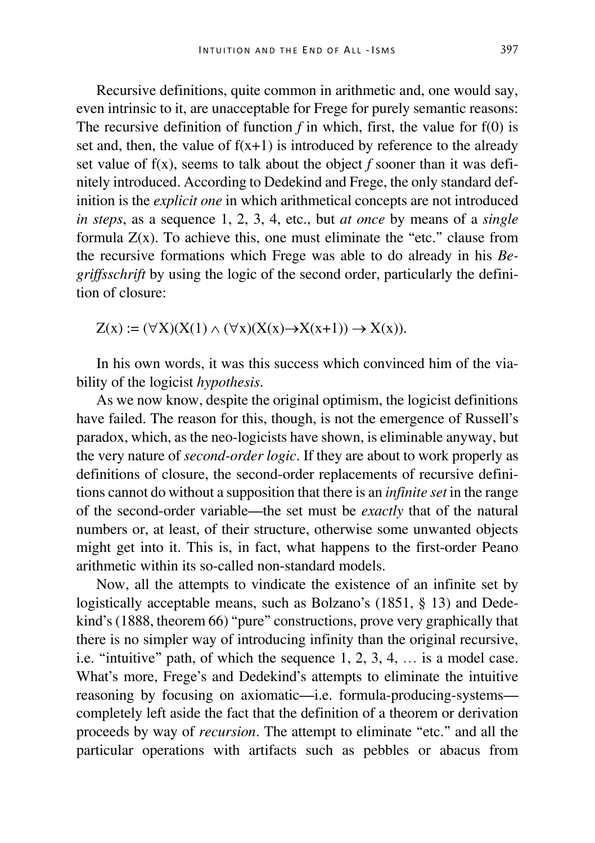Recursive definitions, quite common in arithmetic and, one would say, even intrinsic to it, are unacceptable for Frege for purely semantic reasons: The recursive definition of function  $f$  in which, first, the value for  $f(0)$  is set and, then, the value of  $f(x+1)$  is introduced by reference to the already set value of f(x), seems to talk about the object *f* sooner than it was definitely introduced. According to Dedekind and Frege, the only standard definition is the *explicit one* in which arithmetical concepts are not introduced *in steps*, as a sequence 1, 2, 3, 4, etc., but *at once* by means of a *single* formula  $Z(x)$ . To achieve this, one must eliminate the "etc." clause from the recursive formations which Frege was able to do already in his *Begriffsschrift* by using the logic of the second order, particularly the definition of closure:

 $Z(x) := (\forall X)(X(1) \wedge (\forall x)(X(x) \rightarrow X(x+1)) \rightarrow X(x)).$ 

In his own words, it was this success which convinced him of the viability of the logicist *hypothesis*.

As we now know, despite the original optimism, the logicist definitions have failed. The reason for this, though, is not the emergence of Russell's paradox, which, as the neo-logicists have shown, is eliminable anyway, but the very nature of *second-order logic*. If they are about to work properly as definitions of closure, the second-order replacements of recursive definitions cannot do without a supposition that there is an *infinite set* in the range of the second-order variable—the set must be *exactly* that of the natural numbers or, at least, of their structure, otherwise some unwanted objects might get into it. This is, in fact, what happens to the first-order Peano arithmetic within its so-called non-standard models.

Now, all the attempts to vindicate the existence of an infinite set by logistically acceptable means, such as Bolzano's (1851, § 13) and Dedekind's (1888, theorem 66) "pure" constructions, prove very graphically that there is no simpler way of introducing infinity than the original recursive, i.e. "intuitive" path, of which the sequence 1, 2, 3, 4, … is a model case. What's more, Frege's and Dedekind's attempts to eliminate the intuitive reasoning by focusing on axiomatic—i.e. formula-producing-systems completely left aside the fact that the definition of a theorem or derivation proceeds by way of *recursion*. The attempt to eliminate "etc." and all the particular operations with artifacts such as pebbles or abacus from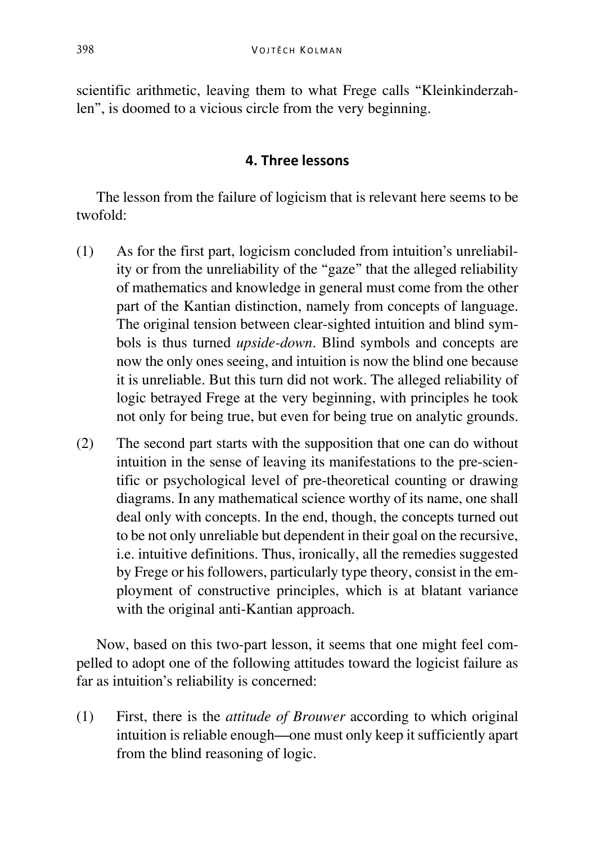scientific arithmetic, leaving them to what Frege calls "Kleinkinderzahlen", is doomed to a vicious circle from the very beginning.

# **4. Three lessons**

The lesson from the failure of logicism that is relevant here seems to be twofold:

- (1) As for the first part, logicism concluded from intuition's unreliability or from the unreliability of the "gaze" that the alleged reliability of mathematics and knowledge in general must come from the other part of the Kantian distinction, namely from concepts of language. The original tension between clear-sighted intuition and blind symbols is thus turned *upside-down*. Blind symbols and concepts are now the only ones seeing, and intuition is now the blind one because it is unreliable. But this turn did not work. The alleged reliability of logic betrayed Frege at the very beginning, with principles he took not only for being true, but even for being true on analytic grounds.
- (2) The second part starts with the supposition that one can do without intuition in the sense of leaving its manifestations to the pre-scientific or psychological level of pre-theoretical counting or drawing diagrams. In any mathematical science worthy of its name, one shall deal only with concepts. In the end, though, the concepts turned out to be not only unreliable but dependent in their goal on the recursive, i.e. intuitive definitions. Thus, ironically, all the remedies suggested by Frege or his followers, particularly type theory, consist in the employment of constructive principles, which is at blatant variance with the original anti-Kantian approach.

Now, based on this two-part lesson, it seems that one might feel compelled to adopt one of the following attitudes toward the logicist failure as far as intuition's reliability is concerned:

(1) First, there is the *attitude of Brouwer* according to which original intuition is reliable enough—one must only keep it sufficiently apart from the blind reasoning of logic.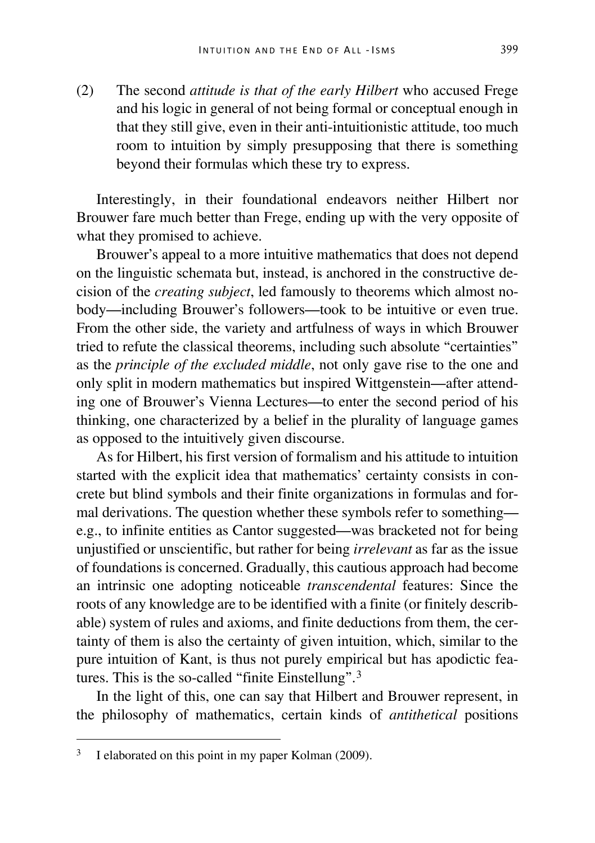(2) The second *attitude is that of the early Hilbert* who accused Frege and his logic in general of not being formal or conceptual enough in that they still give, even in their anti-intuitionistic attitude, too much room to intuition by simply presupposing that there is something beyond their formulas which these try to express.

Interestingly, in their foundational endeavors neither Hilbert nor Brouwer fare much better than Frege, ending up with the very opposite of what they promised to achieve.

Brouwer's appeal to a more intuitive mathematics that does not depend on the linguistic schemata but, instead, is anchored in the constructive decision of the *creating subject*, led famously to theorems which almost nobody—including Brouwer's followers—took to be intuitive or even true. From the other side, the variety and artfulness of ways in which Brouwer tried to refute the classical theorems, including such absolute "certainties" as the *principle of the excluded middle*, not only gave rise to the one and only split in modern mathematics but inspired Wittgenstein—after attending one of Brouwer's Vienna Lectures—to enter the second period of his thinking, one characterized by a belief in the plurality of language games as opposed to the intuitively given discourse.

As for Hilbert, his first version of formalism and his attitude to intuition started with the explicit idea that mathematics' certainty consists in concrete but blind symbols and their finite organizations in formulas and formal derivations. The question whether these symbols refer to something e.g., to infinite entities as Cantor suggested—was bracketed not for being unjustified or unscientific, but rather for being *irrelevant* as far as the issue of foundations is concerned. Gradually, this cautious approach had become an intrinsic one adopting noticeable *transcendental* features: Since the roots of any knowledge are to be identified with a finite (or finitely describable) system of rules and axioms, and finite deductions from them, the certainty of them is also the certainty of given intuition, which, similar to the pure intuition of Kant, is thus not purely empirical but has apodictic features. This is the so-called "finite Einstellung".[3](#page-7-0)

In the light of this, one can say that Hilbert and Brouwer represent, in the philosophy of mathematics, certain kinds of *antithetical* positions

<span id="page-7-0"></span><sup>&</sup>lt;sup>3</sup> I elaborated on this point in my paper Kolman (2009).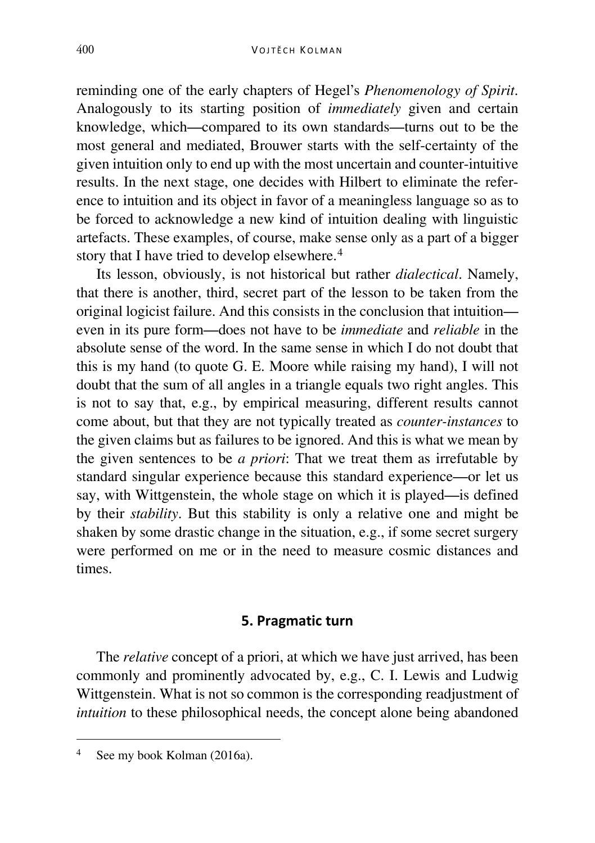reminding one of the early chapters of Hegel's *Phenomenology of Spirit*. Analogously to its starting position of *immediately* given and certain knowledge, which—compared to its own standards—turns out to be the most general and mediated, Brouwer starts with the self-certainty of the given intuition only to end up with the most uncertain and counter-intuitive results. In the next stage, one decides with Hilbert to eliminate the reference to intuition and its object in favor of a meaningless language so as to be forced to acknowledge a new kind of intuition dealing with linguistic artefacts. These examples, of course, make sense only as a part of a bigger story that I have tried to develop elsewhere.<sup>[4](#page-8-0)</sup>

Its lesson, obviously, is not historical but rather *dialectical*. Namely, that there is another, third, secret part of the lesson to be taken from the original logicist failure. And this consists in the conclusion that intuition even in its pure form—does not have to be *immediate* and *reliable* in the absolute sense of the word. In the same sense in which I do not doubt that this is my hand (to quote G. E. Moore while raising my hand), I will not doubt that the sum of all angles in a triangle equals two right angles. This is not to say that, e.g., by empirical measuring, different results cannot come about, but that they are not typically treated as *counter-instances* to the given claims but as failures to be ignored. And this is what we mean by the given sentences to be *a priori*: That we treat them as irrefutable by standard singular experience because this standard experience—or let us say, with Wittgenstein, the whole stage on which it is played—is defined by their *stability*. But this stability is only a relative one and might be shaken by some drastic change in the situation, e.g., if some secret surgery were performed on me or in the need to measure cosmic distances and times.

### **5. Pragmatic turn**

The *relative* concept of a priori, at which we have just arrived, has been commonly and prominently advocated by, e.g., C. I. Lewis and Ludwig Wittgenstein. What is not so common is the corresponding readjustment of *intuition* to these philosophical needs, the concept alone being abandoned

<span id="page-8-0"></span>See my book Kolman (2016a).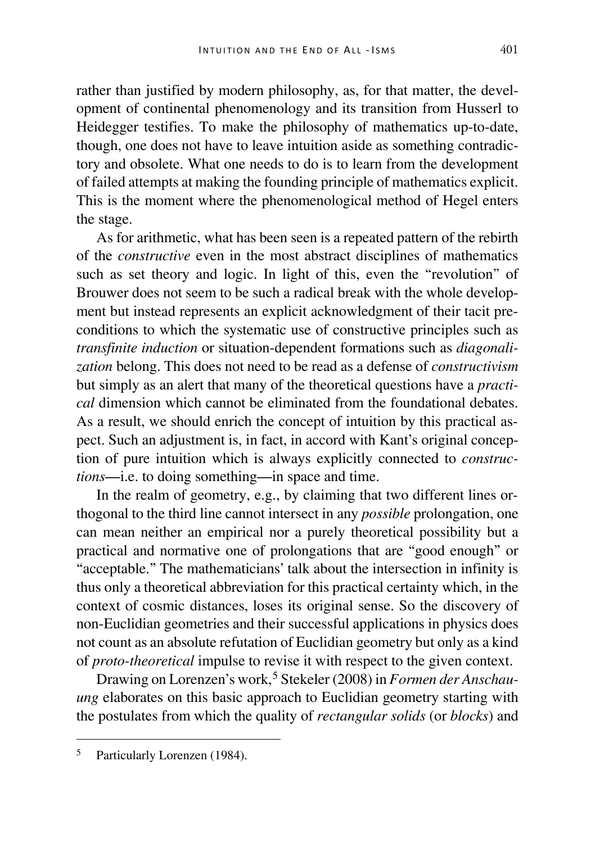rather than justified by modern philosophy, as, for that matter, the development of continental phenomenology and its transition from Husserl to Heidegger testifies. To make the philosophy of mathematics up-to-date, though, one does not have to leave intuition aside as something contradictory and obsolete. What one needs to do is to learn from the development of failed attempts at making the founding principle of mathematics explicit. This is the moment where the phenomenological method of Hegel enters the stage.

As for arithmetic, what has been seen is a repeated pattern of the rebirth of the *constructive* even in the most abstract disciplines of mathematics such as set theory and logic. In light of this, even the "revolution" of Brouwer does not seem to be such a radical break with the whole development but instead represents an explicit acknowledgment of their tacit preconditions to which the systematic use of constructive principles such as *transfinite induction* or situation-dependent formations such as *diagonalization* belong. This does not need to be read as a defense of *constructivism* but simply as an alert that many of the theoretical questions have a *practical* dimension which cannot be eliminated from the foundational debates. As a result, we should enrich the concept of intuition by this practical aspect. Such an adjustment is, in fact, in accord with Kant's original conception of pure intuition which is always explicitly connected to *constructions*—i.e. to doing something—in space and time.

In the realm of geometry, e.g., by claiming that two different lines orthogonal to the third line cannot intersect in any *possible* prolongation, one can mean neither an empirical nor a purely theoretical possibility but a practical and normative one of prolongations that are "good enough" or "acceptable." The mathematicians' talk about the intersection in infinity is thus only a theoretical abbreviation for this practical certainty which, in the context of cosmic distances, loses its original sense. So the discovery of non-Euclidian geometries and their successful applications in physics does not count as an absolute refutation of Euclidian geometry but only as a kind of *proto-theoretical* impulse to revise it with respect to the given context.

Drawing on Lorenzen's work,<sup>[5](#page-9-0)</sup> Stekeler (2008) in *Formen der Anschauung* elaborates on this basic approach to Euclidian geometry starting with the postulates from which the quality of *rectangular solids* (or *blocks*) and

<span id="page-9-0"></span> <sup>5</sup> Particularly Lorenzen (1984).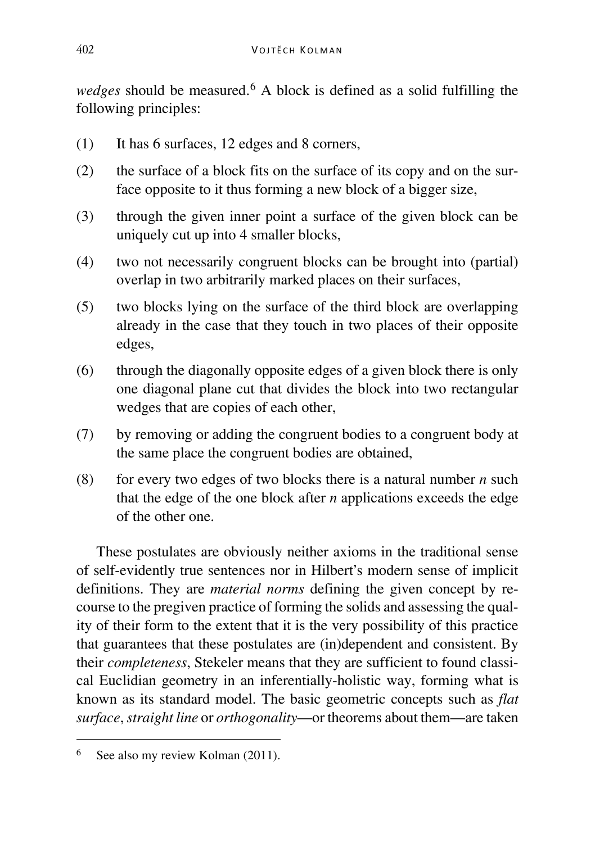*wedges* should be measured.<sup>[6](#page-10-0)</sup> A block is defined as a solid fulfilling the following principles:

- (1) It has 6 surfaces, 12 edges and 8 corners,
- (2) the surface of a block fits on the surface of its copy and on the surface opposite to it thus forming a new block of a bigger size,
- (3) through the given inner point a surface of the given block can be uniquely cut up into 4 smaller blocks,
- (4) two not necessarily congruent blocks can be brought into (partial) overlap in two arbitrarily marked places on their surfaces,
- (5) two blocks lying on the surface of the third block are overlapping already in the case that they touch in two places of their opposite edges,
- (6) through the diagonally opposite edges of a given block there is only one diagonal plane cut that divides the block into two rectangular wedges that are copies of each other,
- (7) by removing or adding the congruent bodies to a congruent body at the same place the congruent bodies are obtained,
- (8) for every two edges of two blocks there is a natural number  $n$  such that the edge of the one block after *n* applications exceeds the edge of the other one.

These postulates are obviously neither axioms in the traditional sense of self-evidently true sentences nor in Hilbert's modern sense of implicit definitions. They are *material norms* defining the given concept by recourse to the pregiven practice of forming the solids and assessing the quality of their form to the extent that it is the very possibility of this practice that guarantees that these postulates are (in)dependent and consistent. By their *completeness*, Stekeler means that they are sufficient to found classical Euclidian geometry in an inferentially-holistic way, forming what is known as its standard model. The basic geometric concepts such as *flat surface*, *straight line* or *orthogonality*—or theorems about them—are taken

<span id="page-10-0"></span><sup>&</sup>lt;sup>6</sup> See also my review Kolman (2011).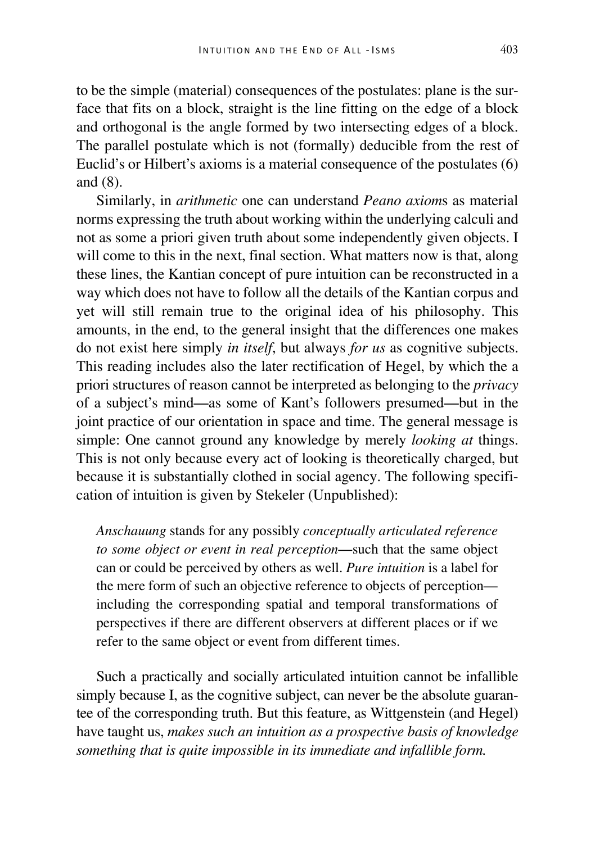to be the simple (material) consequences of the postulates: plane is the surface that fits on a block, straight is the line fitting on the edge of a block and orthogonal is the angle formed by two intersecting edges of a block. The parallel postulate which is not (formally) deducible from the rest of Euclid's or Hilbert's axioms is a material consequence of the postulates (6) and (8).

Similarly, in *arithmetic* one can understand *Peano axiom*s as material norms expressing the truth about working within the underlying calculi and not as some a priori given truth about some independently given objects. I will come to this in the next, final section. What matters now is that, along these lines, the Kantian concept of pure intuition can be reconstructed in a way which does not have to follow all the details of the Kantian corpus and yet will still remain true to the original idea of his philosophy. This amounts, in the end, to the general insight that the differences one makes do not exist here simply *in itself*, but always *for us* as cognitive subjects. This reading includes also the later rectification of Hegel, by which the a priori structures of reason cannot be interpreted as belonging to the *privacy* of a subject's mind—as some of Kant's followers presumed—but in the joint practice of our orientation in space and time. The general message is simple: One cannot ground any knowledge by merely *looking at* things. This is not only because every act of looking is theoretically charged, but because it is substantially clothed in social agency. The following specification of intuition is given by Stekeler (Unpublished):

*Anschauung* stands for any possibly *conceptually articulated reference to some object or event in real perception*—such that the same object can or could be perceived by others as well. *Pure intuition* is a label for the mere form of such an objective reference to objects of perception including the corresponding spatial and temporal transformations of perspectives if there are different observers at different places or if we refer to the same object or event from different times.

Such a practically and socially articulated intuition cannot be infallible simply because I, as the cognitive subject, can never be the absolute guarantee of the corresponding truth. But this feature, as Wittgenstein (and Hegel) have taught us, *makes such an intuition as a prospective basis of knowledge something that is quite impossible in its immediate and infallible form.*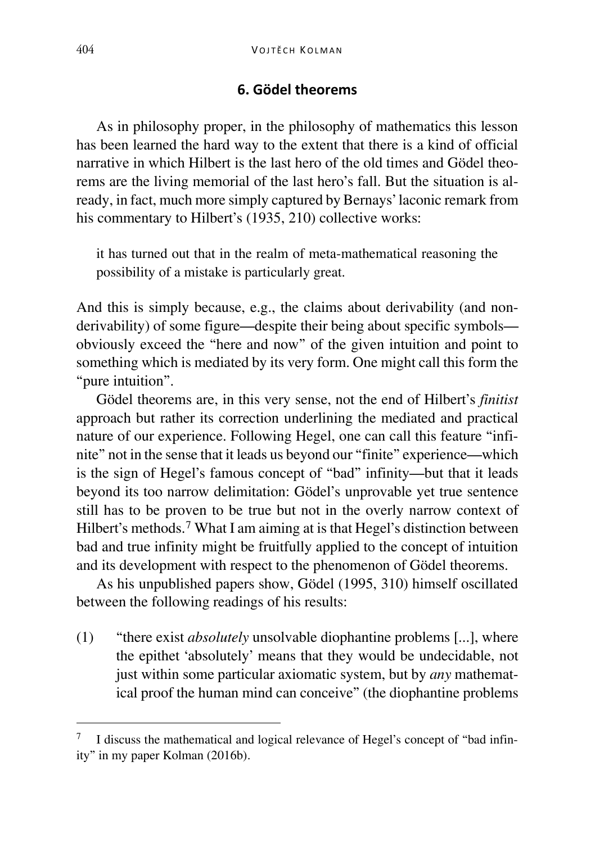### **6. Gödel theorems**

As in philosophy proper, in the philosophy of mathematics this lesson has been learned the hard way to the extent that there is a kind of official narrative in which Hilbert is the last hero of the old times and Gödel theorems are the living memorial of the last hero's fall. But the situation is already, in fact, much more simply captured by Bernays' laconic remark from his commentary to Hilbert's (1935, 210) collective works:

it has turned out that in the realm of meta-mathematical reasoning the possibility of a mistake is particularly great.

And this is simply because, e.g., the claims about derivability (and nonderivability) of some figure—despite their being about specific symbols obviously exceed the "here and now" of the given intuition and point to something which is mediated by its very form. One might call this form the "pure intuition".

Gödel theorems are, in this very sense, not the end of Hilbert's *finitist* approach but rather its correction underlining the mediated and practical nature of our experience. Following Hegel, one can call this feature "infinite" not in the sense that it leads us beyond our "finite" experience—which is the sign of Hegel's famous concept of "bad" infinity—but that it leads beyond its too narrow delimitation: Gödel's unprovable yet true sentence still has to be proven to be true but not in the overly narrow context of Hilbert's methods.<sup>[7](#page-12-0)</sup> What I am aiming at is that Hegel's distinction between bad and true infinity might be fruitfully applied to the concept of intuition and its development with respect to the phenomenon of Gödel theorems.

As his unpublished papers show, Gödel (1995, 310) himself oscillated between the following readings of his results:

(1) "there exist *absolutely* unsolvable diophantine problems [...], where the epithet 'absolutely' means that they would be undecidable, not just within some particular axiomatic system, but by *any* mathematical proof the human mind can conceive" (the diophantine problems

<span id="page-12-0"></span> <sup>7</sup> I discuss the mathematical and logical relevance of Hegel's concept of "bad infinity" in my paper Kolman (2016b).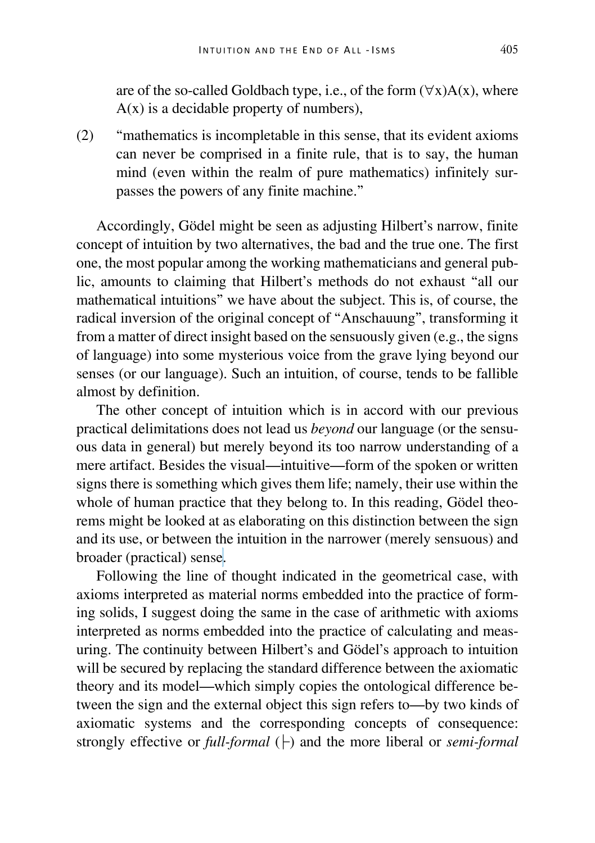are of the so-called Goldbach type, i.e., of the form  $(\forall x)A(x)$ , where  $A(x)$  is a decidable property of numbers),

(2) "mathematics is incompletable in this sense, that its evident axioms can never be comprised in a finite rule, that is to say, the human mind (even within the realm of pure mathematics) infinitely surpasses the powers of any finite machine."

Accordingly, Gödel might be seen as adjusting Hilbert's narrow, finite concept of intuition by two alternatives, the bad and the true one. The first one, the most popular among the working mathematicians and general public, amounts to claiming that Hilbert's methods do not exhaust "all our mathematical intuitions" we have about the subject. This is, of course, the radical inversion of the original concept of "Anschauung", transforming it from a matter of direct insight based on the sensuously given (e.g., the signs of language) into some mysterious voice from the grave lying beyond our senses (or our language). Such an intuition, of course, tends to be fallible almost by definition.

The other concept of intuition which is in accord with our previous practical delimitations does not lead us *beyond* our language (or the sensuous data in general) but merely beyond its too narrow understanding of a mere artifact. Besides the visual—intuitive—form of the spoken or written signs there is something which gives them life; namely, their use within the whole of human practice that they belong to. In this reading, Gödel theorems might be looked at as elaborating on this distinction between the sign and its use, or between the intuition in the narrower (merely sensuous) and broader (practical) sense.

Following the line of thought indicated in the geometrical case, with axioms interpreted as material norms embedded into the practice of forming solids, I suggest doing the same in the case of arithmetic with axioms interpreted as norms embedded into the practice of calculating and measuring. The continuity between Hilbert's and Gödel's approach to intuition will be secured by replacing the standard difference between the axiomatic theory and its model—which simply copies the ontological difference between the sign and the external object this sign refers to—by two kinds of axiomatic systems and the corresponding concepts of consequence: strongly effective or *full-formal* (├) and the more liberal or *semi-formal*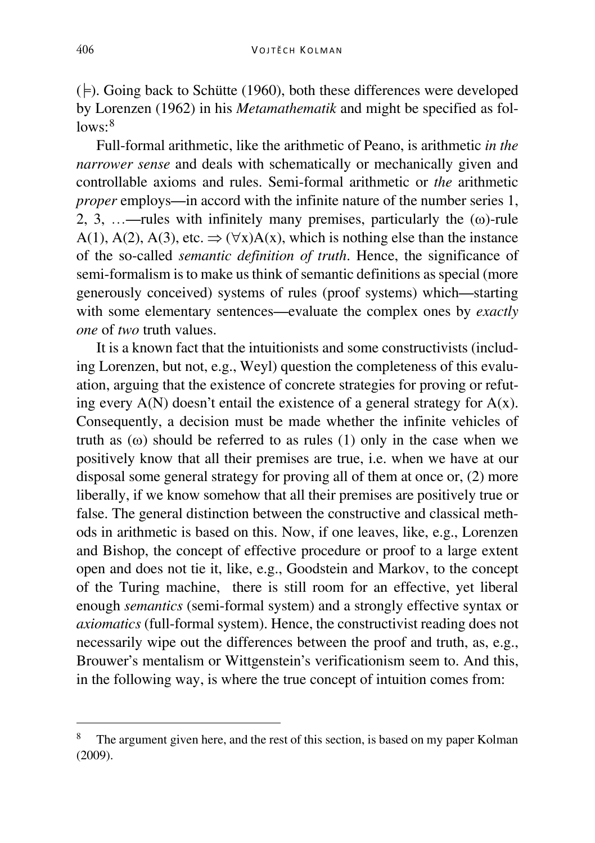$(\models)$ . Going back to Schütte (1960), both these differences were developed by Lorenzen (1962) in his *Metamathematik* and might be specified as fol- $lows.8$  $lows.8$ 

Full-formal arithmetic, like the arithmetic of Peano, is arithmetic *in the narrower sense* and deals with schematically or mechanically given and controllable axioms and rules. Semi-formal arithmetic or *the* arithmetic *proper* employs—in accord with the infinite nature of the number series 1, 2, 3, …—rules with infinitely many premises, particularly the  $(\omega)$ -rule A(1), A(2), A(3), etc.  $\Rightarrow$   $(\forall x)A(x)$ , which is nothing else than the instance of the so-called *semantic definition of truth*. Hence, the significance of semi-formalism is to make us think of semantic definitions as special (more generously conceived) systems of rules (proof systems) which—starting with some elementary sentences—evaluate the complex ones by *exactly one* of *two* truth values.

It is a known fact that the intuitionists and some constructivists (including Lorenzen, but not, e.g., Weyl) question the completeness of this evaluation, arguing that the existence of concrete strategies for proving or refuting every  $A(N)$  doesn't entail the existence of a general strategy for  $A(x)$ . Consequently, a decision must be made whether the infinite vehicles of truth as  $(\omega)$  should be referred to as rules (1) only in the case when we positively know that all their premises are true, i.e. when we have at our disposal some general strategy for proving all of them at once or, (2) more liberally, if we know somehow that all their premises are positively true or false. The general distinction between the constructive and classical methods in arithmetic is based on this. Now, if one leaves, like, e.g., Lorenzen and Bishop, the concept of effective procedure or proof to a large extent open and does not tie it, like, e.g., Goodstein and Markov, to the concept of the Turing machine, there is still room for an effective, yet liberal enough *semantics* (semi-formal system) and a strongly effective syntax or *axiomatics* (full-formal system). Hence, the constructivist reading does not necessarily wipe out the differences between the proof and truth, as, e.g., Brouwer's mentalism or Wittgenstein's verificationism seem to. And this, in the following way, is where the true concept of intuition comes from:

<span id="page-14-0"></span>The argument given here, and the rest of this section, is based on my paper Kolman (2009).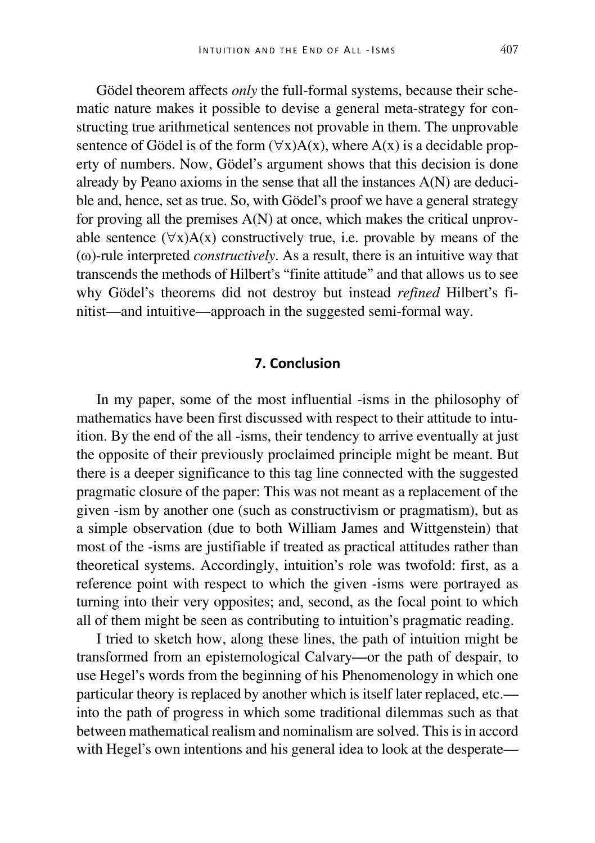Gödel theorem affects *only* the full-formal systems, because their schematic nature makes it possible to devise a general meta-strategy for constructing true arithmetical sentences not provable in them. The unprovable sentence of Gödel is of the form  $(\forall x)A(x)$ , where  $A(x)$  is a decidable property of numbers. Now, Gödel's argument shows that this decision is done already by Peano axioms in the sense that all the instances A(N) are deducible and, hence, set as true. So, with Gödel's proof we have a general strategy for proving all the premises A(N) at once, which makes the critical unprovable sentence  $(\forall x)A(x)$  constructively true, i.e. provable by means of the (ω)-rule interpreted *constructively*. As a result, there is an intuitive way that transcends the methods of Hilbert's "finite attitude" and that allows us to see why Gödel's theorems did not destroy but instead *refined* Hilbert's finitist—and intuitive—approach in the suggested semi-formal way.

#### **7. Conclusion**

In my paper, some of the most influential -isms in the philosophy of mathematics have been first discussed with respect to their attitude to intuition. By the end of the all -isms, their tendency to arrive eventually at just the opposite of their previously proclaimed principle might be meant. But there is a deeper significance to this tag line connected with the suggested pragmatic closure of the paper: This was not meant as a replacement of the given -ism by another one (such as constructivism or pragmatism), but as a simple observation (due to both William James and Wittgenstein) that most of the -isms are justifiable if treated as practical attitudes rather than theoretical systems. Accordingly, intuition's role was twofold: first, as a reference point with respect to which the given -isms were portrayed as turning into their very opposites; and, second, as the focal point to which all of them might be seen as contributing to intuition's pragmatic reading.

I tried to sketch how, along these lines, the path of intuition might be transformed from an epistemological Calvary—or the path of despair, to use Hegel's words from the beginning of his Phenomenology in which one particular theory is replaced by another which is itself later replaced, etc. into the path of progress in which some traditional dilemmas such as that between mathematical realism and nominalism are solved. This is in accord with Hegel's own intentions and his general idea to look at the desperate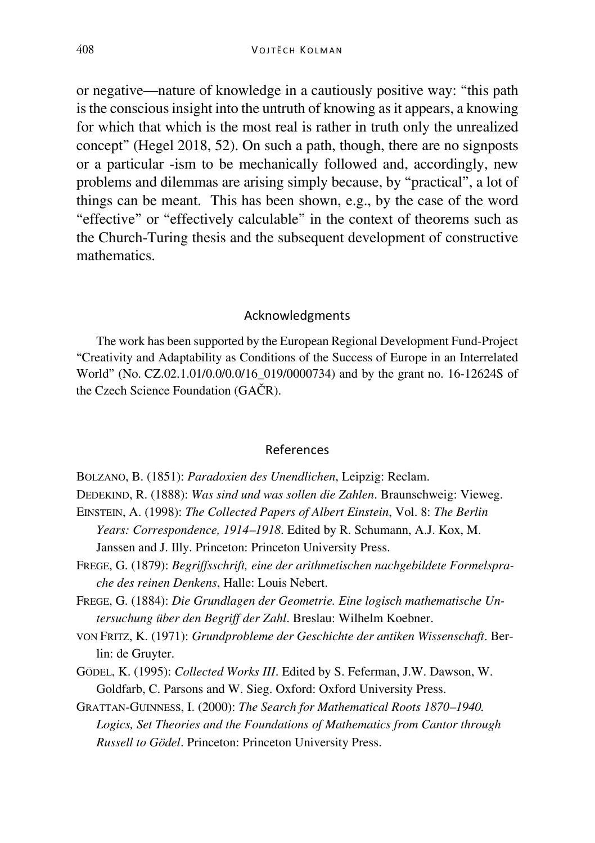or negative—nature of knowledge in a cautiously positive way: "this path is the conscious insight into the untruth of knowing as it appears, a knowing for which that which is the most real is rather in truth only the unrealized concept" (Hegel 2018, 52). On such a path, though, there are no signposts or a particular -ism to be mechanically followed and, accordingly, new problems and dilemmas are arising simply because, by "practical", a lot of things can be meant. This has been shown, e.g., by the case of the word "effective" or "effectively calculable" in the context of theorems such as the Church-Turing thesis and the subsequent development of constructive mathematics.

#### Acknowledgments

The work has been supported by the European Regional Development Fund-Project "Creativity and Adaptability as Conditions of the Success of Europe in an Interrelated World" (No. CZ.02.1.01/0.0/0.0/16\_019/0000734) and by the grant no. 16-12624S of the Czech Science Foundation (GAČR).

#### References

- BOLZANO, B. (1851): *Paradoxien des Unendlichen*, Leipzig: Reclam.
- DEDEKIND, R. (1888): *Was sind und was sollen die Zahlen*. Braunschweig: Vieweg.
- EINSTEIN, A. (1998): *The Collected Papers of Albert Einstein*, Vol. 8: *The Berlin Years: Correspondence, 1914–1918*. Edited by R. Schumann, A.J. Kox, M. Janssen and J. Illy. Princeton: Princeton University Press.
- FREGE, G. (1879): *Begriffsschrift, eine der arithmetischen nachgebildete Formelsprache des reinen Denkens*, Halle: Louis Nebert.
- FREGE, G. (1884): *Die Grundlagen der Geometrie. Eine logisch mathematische Untersuchung über den Begriff der Zahl*. Breslau: Wilhelm Koebner.
- VON FRITZ, K. (1971): *Grundprobleme der Geschichte der antiken Wissenschaft*. Berlin: de Gruyter.
- GÖDEL, K. (1995): *Collected Works III*. Edited by S. Feferman, J.W. Dawson, W. Goldfarb, C. Parsons and W. Sieg. Oxford: Oxford University Press.
- GRATTAN-GUINNESS, I. (2000): *The Search for Mathematical Roots 1870–1940. Logics, Set Theories and the Foundations of Mathematics from Cantor through Russell to Gödel*. Princeton: Princeton University Press.